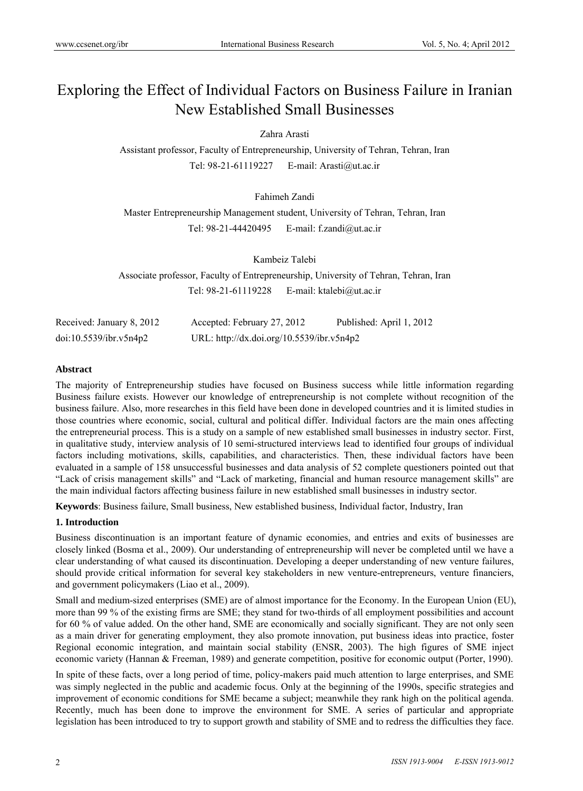# Exploring the Effect of Individual Factors on Business Failure in Iranian New Established Small Businesses

Zahra Arasti

Assistant professor, Faculty of Entrepreneurship, University of Tehran, Tehran, Iran Tel: 98-21-61119227 E-mail: Arasti@ut.ac.ir

Fahimeh Zandi

Master Entrepreneurship Management student, University of Tehran, Tehran, Iran Tel: 98-21-44420495 E-mail: f.zandi@ut.ac.ir

Kambeiz Talebi

Associate professor, Faculty of Entrepreneurship, University of Tehran, Tehran, Iran Tel: 98-21-61119228 E-mail: ktalebi@ut.ac.ir

| Received: January 8, 2012 | Accepted: February 27, 2012               | Published: April 1, 2012 |
|---------------------------|-------------------------------------------|--------------------------|
| doi:10.5539/ibr.v5n4p2    | URL: http://dx.doi.org/10.5539/ibr.v5n4p2 |                          |

#### **Abstract**

The majority of Entrepreneurship studies have focused on Business success while little information regarding Business failure exists. However our knowledge of entrepreneurship is not complete without recognition of the business failure. Also, more researches in this field have been done in developed countries and it is limited studies in those countries where economic, social, cultural and political differ. Individual factors are the main ones affecting the entrepreneurial process. This is a study on a sample of new established small businesses in industry sector. First, in qualitative study, interview analysis of 10 semi-structured interviews lead to identified four groups of individual factors including motivations, skills, capabilities, and characteristics. Then, these individual factors have been evaluated in a sample of 158 unsuccessful businesses and data analysis of 52 complete questioners pointed out that "Lack of crisis management skills" and "Lack of marketing, financial and human resource management skills" are the main individual factors affecting business failure in new established small businesses in industry sector.

**Keywords**: Business failure, Small business, New established business, Individual factor, Industry, Iran

#### **1. Introduction**

Business discontinuation is an important feature of dynamic economies, and entries and exits of businesses are closely linked (Bosma et al., 2009). Our understanding of entrepreneurship will never be completed until we have a clear understanding of what caused its discontinuation. Developing a deeper understanding of new venture failures, should provide critical information for several key stakeholders in new venture-entrepreneurs, venture financiers, and government policymakers (Liao et al., 2009).

Small and medium-sized enterprises (SME) are of almost importance for the Economy. In the European Union (EU), more than 99 % of the existing firms are SME; they stand for two-thirds of all employment possibilities and account for 60 % of value added. On the other hand, SME are economically and socially significant. They are not only seen as a main driver for generating employment, they also promote innovation, put business ideas into practice, foster Regional economic integration, and maintain social stability (ENSR, 2003). The high figures of SME inject economic variety (Hannan & Freeman, 1989) and generate competition, positive for economic output (Porter, 1990).

In spite of these facts, over a long period of time, policy-makers paid much attention to large enterprises, and SME was simply neglected in the public and academic focus. Only at the beginning of the 1990s, specific strategies and improvement of economic conditions for SME became a subject; meanwhile they rank high on the political agenda. Recently, much has been done to improve the environment for SME. A series of particular and appropriate legislation has been introduced to try to support growth and stability of SME and to redress the difficulties they face.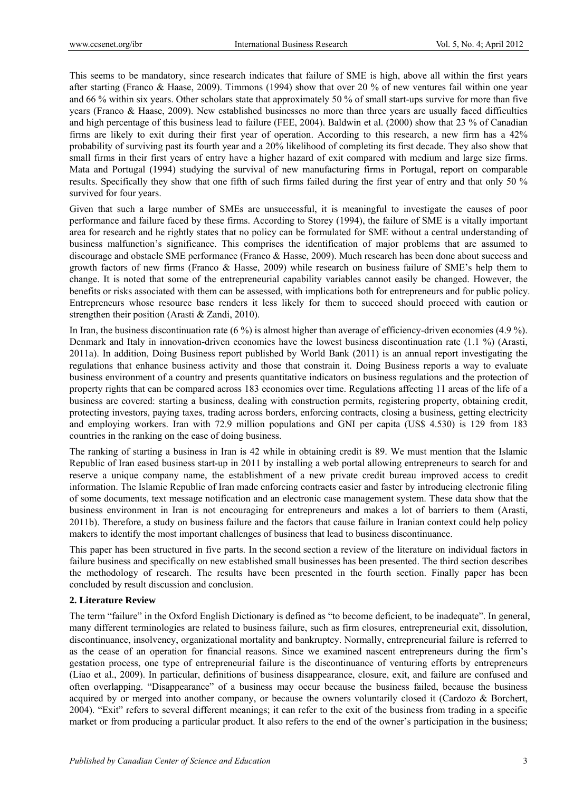This seems to be mandatory, since research indicates that failure of SME is high, above all within the first years after starting (Franco & Haase, 2009). Timmons (1994) show that over 20 % of new ventures fail within one year and 66 % within six years. Other scholars state that approximately 50 % of small start-ups survive for more than five years (Franco & Haase, 2009). New established businesses no more than three years are usually faced difficulties and high percentage of this business lead to failure (FEE, 2004). Baldwin et al. (2000) show that 23 % of Canadian firms are likely to exit during their first year of operation. According to this research, a new firm has a 42% probability of surviving past its fourth year and a 20% likelihood of completing its first decade. They also show that small firms in their first years of entry have a higher hazard of exit compared with medium and large size firms. Mata and Portugal (1994) studying the survival of new manufacturing firms in Portugal, report on comparable results. Specifically they show that one fifth of such firms failed during the first year of entry and that only 50 % survived for four years.

Given that such a large number of SMEs are unsuccessful, it is meaningful to investigate the causes of poor performance and failure faced by these firms. According to Storey (1994), the failure of SME is a vitally important area for research and he rightly states that no policy can be formulated for SME without a central understanding of business malfunction's significance. This comprises the identification of major problems that are assumed to discourage and obstacle SME performance (Franco & Hasse, 2009). Much research has been done about success and growth factors of new firms (Franco & Hasse, 2009) while research on business failure of SME's help them to change. It is noted that some of the entrepreneurial capability variables cannot easily be changed. However, the benefits or risks associated with them can be assessed, with implications both for entrepreneurs and for public policy. Entrepreneurs whose resource base renders it less likely for them to succeed should proceed with caution or strengthen their position (Arasti & Zandi, 2010).

In Iran, the business discontinuation rate (6 %) is almost higher than average of efficiency-driven economies (4.9 %). Denmark and Italy in innovation-driven economies have the lowest business discontinuation rate (1.1 %) (Arasti, 2011a). In addition, Doing Business report published by World Bank (2011) is an annual report investigating the regulations that enhance business activity and those that constrain it. Doing Business reports a way to evaluate business environment of a country and presents quantitative indicators on business regulations and the protection of property rights that can be compared across 183 economies over time. Regulations affecting 11 areas of the life of a business are covered: starting a business, dealing with construction permits, registering property, obtaining credit, protecting investors, paying taxes, trading across borders, enforcing contracts, closing a business, getting electricity and employing workers. Iran with 72.9 million populations and GNI per capita (US\$ 4.530) is 129 from 183 countries in the ranking on the ease of doing business.

The ranking of starting a business in Iran is 42 while in obtaining credit is 89. We must mention that the Islamic Republic of Iran eased business start-up in 2011 by installing a web portal allowing entrepreneurs to search for and reserve a unique company name, the establishment of a new private credit bureau improved access to credit information. The Islamic Republic of Iran made enforcing contracts easier and faster by introducing electronic filing of some documents, text message notification and an electronic case management system. These data show that the business environment in Iran is not encouraging for entrepreneurs and makes a lot of barriers to them (Arasti, 2011b). Therefore, a study on business failure and the factors that cause failure in Iranian context could help policy makers to identify the most important challenges of business that lead to business discontinuance.

This paper has been structured in five parts. In the second section a review of the literature on individual factors in failure business and specifically on new established small businesses has been presented. The third section describes the methodology of research. The results have been presented in the fourth section. Finally paper has been concluded by result discussion and conclusion.

## **2. Literature Review**

The term "failure" in the Oxford English Dictionary is defined as "to become deficient, to be inadequate". In general, many different terminologies are related to business failure, such as firm closures, entrepreneurial exit, dissolution, discontinuance, insolvency, organizational mortality and bankruptcy. Normally, entrepreneurial failure is referred to as the cease of an operation for financial reasons. Since we examined nascent entrepreneurs during the firm's gestation process, one type of entrepreneurial failure is the discontinuance of venturing efforts by entrepreneurs (Liao et al., 2009). In particular, definitions of business disappearance, closure, exit, and failure are confused and often overlapping. "Disappearance" of a business may occur because the business failed, because the business acquired by or merged into another company, or because the owners voluntarily closed it (Cardozo & Borchert, 2004). "Exit" refers to several different meanings; it can refer to the exit of the business from trading in a specific market or from producing a particular product. It also refers to the end of the owner's participation in the business;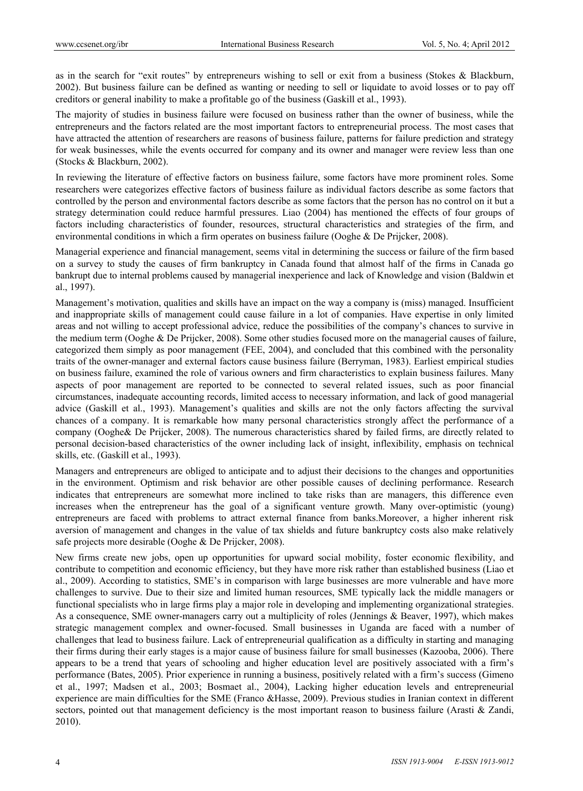as in the search for "exit routes" by entrepreneurs wishing to sell or exit from a business (Stokes & Blackburn, 2002). But business failure can be defined as wanting or needing to sell or liquidate to avoid losses or to pay off creditors or general inability to make a profitable go of the business (Gaskill et al., 1993).

The majority of studies in business failure were focused on business rather than the owner of business, while the entrepreneurs and the factors related are the most important factors to entrepreneurial process. The most cases that have attracted the attention of researchers are reasons of business failure, patterns for failure prediction and strategy for weak businesses, while the events occurred for company and its owner and manager were review less than one (Stocks & Blackburn, 2002).

In reviewing the literature of effective factors on business failure, some factors have more prominent roles. Some researchers were categorizes effective factors of business failure as individual factors describe as some factors that controlled by the person and environmental factors describe as some factors that the person has no control on it but a strategy determination could reduce harmful pressures. Liao (2004) has mentioned the effects of four groups of factors including characteristics of founder, resources, structural characteristics and strategies of the firm, and environmental conditions in which a firm operates on business failure (Ooghe & De Prijcker, 2008).

Managerial experience and financial management, seems vital in determining the success or failure of the firm based on a survey to study the causes of firm bankruptcy in Canada found that almost half of the firms in Canada go bankrupt due to internal problems caused by managerial inexperience and lack of Knowledge and vision (Baldwin et al., 1997).

Management's motivation, qualities and skills have an impact on the way a company is (miss) managed. Insufficient and inappropriate skills of management could cause failure in a lot of companies. Have expertise in only limited areas and not willing to accept professional advice, reduce the possibilities of the company's chances to survive in the medium term (Ooghe & De Prijcker, 2008). Some other studies focused more on the managerial causes of failure, categorized them simply as poor management (FEE, 2004), and concluded that this combined with the personality traits of the owner-manager and external factors cause business failure (Berryman, 1983). Earliest empirical studies on business failure, examined the role of various owners and firm characteristics to explain business failures. Many aspects of poor management are reported to be connected to several related issues, such as poor financial circumstances, inadequate accounting records, limited access to necessary information, and lack of good managerial advice (Gaskill et al., 1993). Management's qualities and skills are not the only factors affecting the survival chances of a company. It is remarkable how many personal characteristics strongly affect the performance of a company (Ooghe& De Prijcker, 2008). The numerous characteristics shared by failed firms, are directly related to personal decision-based characteristics of the owner including lack of insight, inflexibility, emphasis on technical skills, etc. (Gaskill et al., 1993).

Managers and entrepreneurs are obliged to anticipate and to adjust their decisions to the changes and opportunities in the environment. Optimism and risk behavior are other possible causes of declining performance. Research indicates that entrepreneurs are somewhat more inclined to take risks than are managers, this difference even increases when the entrepreneur has the goal of a significant venture growth. Many over-optimistic (young) entrepreneurs are faced with problems to attract external finance from banks.Moreover, a higher inherent risk aversion of management and changes in the value of tax shields and future bankruptcy costs also make relatively safe projects more desirable (Ooghe & De Prijcker, 2008).

New firms create new jobs, open up opportunities for upward social mobility, foster economic flexibility, and contribute to competition and economic efficiency, but they have more risk rather than established business (Liao et al., 2009). According to statistics, SME's in comparison with large businesses are more vulnerable and have more challenges to survive. Due to their size and limited human resources, SME typically lack the middle managers or functional specialists who in large firms play a major role in developing and implementing organizational strategies. As a consequence, SME owner-managers carry out a multiplicity of roles (Jennings & Beaver, 1997), which makes strategic management complex and owner-focused. Small businesses in Uganda are faced with a number of challenges that lead to business failure. Lack of entrepreneurial qualification as a difficulty in starting and managing their firms during their early stages is a major cause of business failure for small businesses (Kazooba, 2006). There appears to be a trend that years of schooling and higher education level are positively associated with a firm's performance (Bates, 2005). Prior experience in running a business, positively related with a firm's success (Gimeno et al., 1997; Madsen et al., 2003; Bosmaet al., 2004), Lacking higher education levels and entrepreneurial experience are main difficulties for the SME (Franco &Hasse, 2009). Previous studies in Iranian context in different sectors, pointed out that management deficiency is the most important reason to business failure (Arasti  $\&$  Zandi, 2010).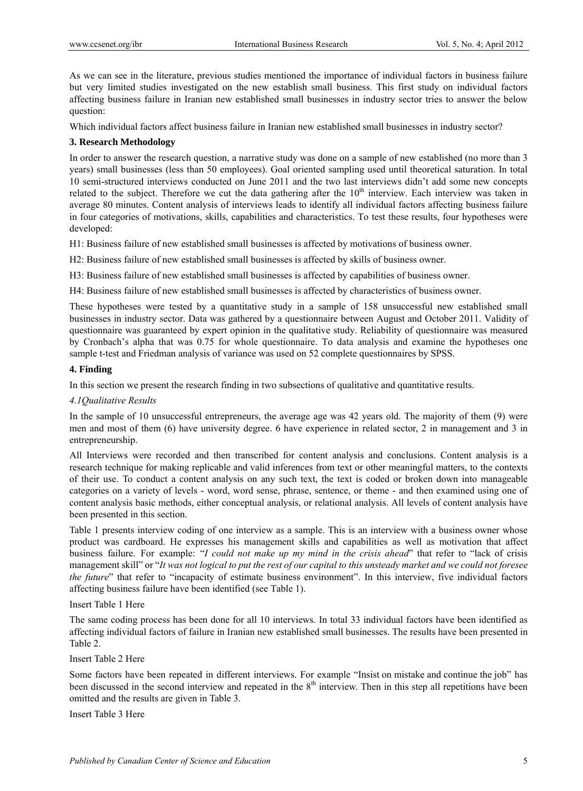As we can see in the literature, previous studies mentioned the importance of individual factors in business failure but very limited studies investigated on the new establish small business. This first study on individual factors affecting business failure in Iranian new established small businesses in industry sector tries to answer the below question:

Which individual factors affect business failure in Iranian new established small businesses in industry sector?

## **3. Research Methodology**

In order to answer the research question, a narrative study was done on a sample of new established (no more than 3 years) small businesses (less than 50 employees). Goal oriented sampling used until theoretical saturation. In total 10 semi-structured interviews conducted on June 2011 and the two last interviews didn't add some new concepts related to the subject. Therefore we cut the data gathering after the 10<sup>th</sup> interview. Each interview was taken in average 80 minutes. Content analysis of interviews leads to identify all individual factors affecting business failure in four categories of motivations, skills, capabilities and characteristics. To test these results, four hypotheses were developed:

H1: Business failure of new established small businesses is affected by motivations of business owner.

H2: Business failure of new established small businesses is affected by skills of business owner.

H3: Business failure of new established small businesses is affected by capabilities of business owner.

H4: Business failure of new established small businesses is affected by characteristics of business owner.

These hypotheses were tested by a quantitative study in a sample of 158 unsuccessful new established small businesses in industry sector. Data was gathered by a questionnaire between August and October 2011. Validity of questionnaire was guaranteed by expert opinion in the qualitative study. Reliability of questionnaire was measured by Cronbach's alpha that was 0.75 for whole questionnaire. To data analysis and examine the hypotheses one sample t-test and Friedman analysis of variance was used on 52 complete questionnaires by SPSS.

#### **4. Finding**

In this section we present the research finding in two subsections of qualitative and quantitative results.

#### *4.1Qualitative Results*

In the sample of 10 unsuccessful entrepreneurs, the average age was 42 years old. The majority of them (9) were men and most of them (6) have university degree. 6 have experience in related sector, 2 in management and 3 in entrepreneurship.

All Interviews were recorded and then transcribed for content analysis and conclusions. Content analysis is a research technique for making replicable and valid inferences from text or other meaningful matters, to the contexts of their use. To conduct a content analysis on any such text, the text is coded or broken down into manageable categories on a variety of levels - word, word sense, phrase, sentence, or theme - and then examined using one of content analysis basic methods, either conceptual analysis, or relational analysis. All levels of content analysis have been presented in this section.

Table 1 presents interview coding of one interview as a sample. This is an interview with a business owner whose product was cardboard. He expresses his management skills and capabilities as well as motivation that affect business failure. For example: "*I could not make up my mind in the crisis ahead*" that refer to "lack of crisis management skill" or "*It was not logical to put the rest of our capital to this unsteady market and we could not foresee the future*" that refer to "incapacity of estimate business environment". In this interview, five individual factors affecting business failure have been identified (see Table 1).

#### Insert Table 1 Here

The same coding process has been done for all 10 interviews. In total 33 individual factors have been identified as affecting individual factors of failure in Iranian new established small businesses. The results have been presented in Table 2.

## Insert Table 2 Here

Some factors have been repeated in different interviews. For example "Insist on mistake and continue the job" has been discussed in the second interview and repeated in the  $8<sup>th</sup>$  interview. Then in this step all repetitions have been omitted and the results are given in Table 3.

Insert Table 3 Here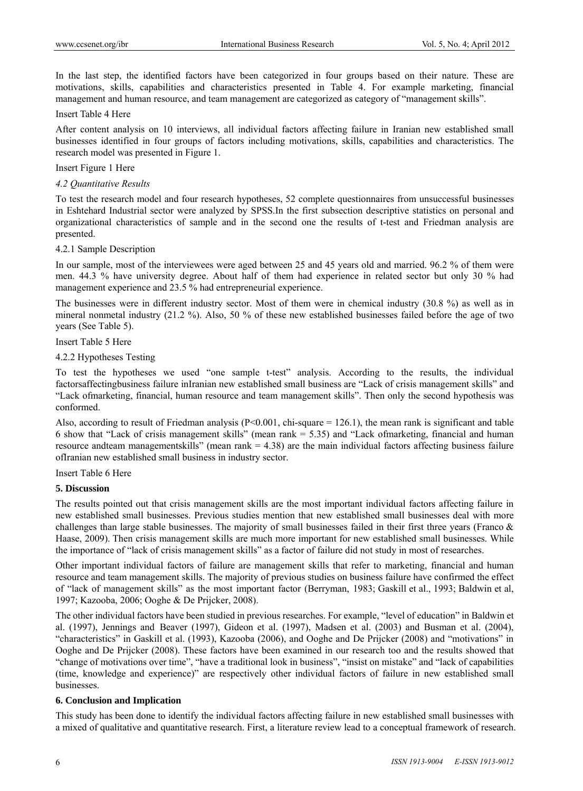In the last step, the identified factors have been categorized in four groups based on their nature. These are motivations, skills, capabilities and characteristics presented in Table 4. For example marketing, financial management and human resource, and team management are categorized as category of "management skills".

Insert Table 4 Here

After content analysis on 10 interviews, all individual factors affecting failure in Iranian new established small businesses identified in four groups of factors including motivations, skills, capabilities and characteristics. The research model was presented in Figure 1.

Insert Figure 1 Here

#### *4.2 Quantitative Results*

To test the research model and four research hypotheses, 52 complete questionnaires from unsuccessful businesses in Eshtehard Industrial sector were analyzed by SPSS.In the first subsection descriptive statistics on personal and organizational characteristics of sample and in the second one the results of t-test and Friedman analysis are presented.

#### 4.2.1 Sample Description

In our sample, most of the interviewees were aged between 25 and 45 years old and married. 96.2 % of them were men. 44.3 % have university degree. About half of them had experience in related sector but only 30 % had management experience and 23.5 % had entrepreneurial experience.

The businesses were in different industry sector. Most of them were in chemical industry (30.8 %) as well as in mineral nonmetal industry (21.2 %). Also, 50 % of these new established businesses failed before the age of two years (See Table 5).

Insert Table 5 Here

#### 4.2.2 Hypotheses Testing

To test the hypotheses we used "one sample t-test" analysis. According to the results, the individual factorsaffectingbusiness failure inIranian new established small business are "Lack of crisis management skills" and "Lack ofmarketing, financial, human resource and team management skills". Then only the second hypothesis was conformed.

Also, according to result of Friedman analysis  $(P<0.001, chi$ -square = 126.1), the mean rank is significant and table 6 show that "Lack of crisis management skills" (mean rank = 5.35) and "Lack ofmarketing, financial and human resource andteam managementskills" (mean rank  $=$  4.38) are the main individual factors affecting business failure ofIranian new established small business in industry sector.

Insert Table 6 Here

#### **5. Discussion**

The results pointed out that crisis management skills are the most important individual factors affecting failure in new established small businesses. Previous studies mention that new established small businesses deal with more challenges than large stable businesses. The majority of small businesses failed in their first three years (Franco  $\&$ Haase, 2009). Then crisis management skills are much more important for new established small businesses. While the importance of "lack of crisis management skills" as a factor of failure did not study in most of researches.

Other important individual factors of failure are management skills that refer to marketing, financial and human resource and team management skills. The majority of previous studies on business failure have confirmed the effect of "lack of management skills" as the most important factor (Berryman, 1983; Gaskill et al., 1993; Baldwin et al, 1997; Kazooba, 2006; Ooghe & De Prijcker, 2008).

The other individual factors have been studied in previous researches. For example, "level of education" in Baldwin et al. (1997), Jennings and Beaver (1997), Gideon et al. (1997), Madsen et al. (2003) and Busman et al. (2004), "characteristics" in Gaskill et al. (1993), Kazooba (2006), and Ooghe and De Prijcker (2008) and "motivations" in Ooghe and De Prijcker (2008). These factors have been examined in our research too and the results showed that "change of motivations over time", "have a traditional look in business", "insist on mistake" and "lack of capabilities (time, knowledge and experience)" are respectively other individual factors of failure in new established small businesses.

#### **6. Conclusion and Implication**

This study has been done to identify the individual factors affecting failure in new established small businesses with a mixed of qualitative and quantitative research. First, a literature review lead to a conceptual framework of research.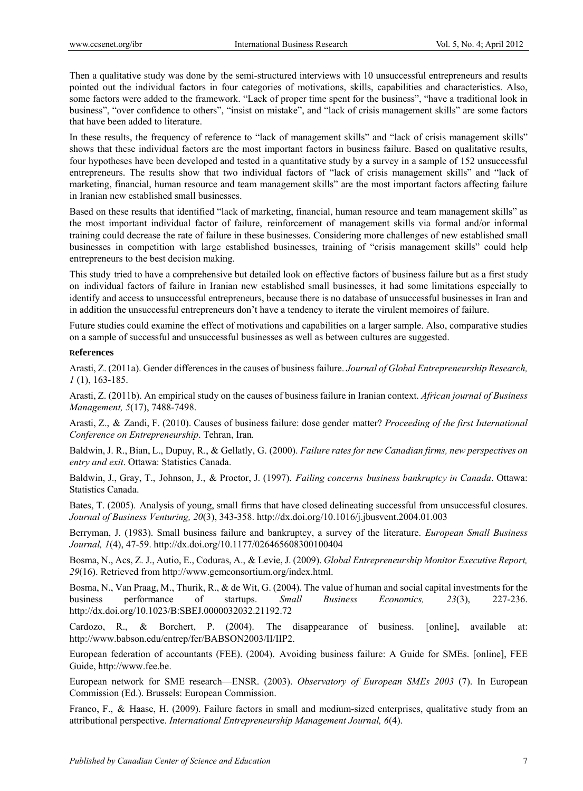Then a qualitative study was done by the semi-structured interviews with 10 unsuccessful entrepreneurs and results pointed out the individual factors in four categories of motivations, skills, capabilities and characteristics. Also, some factors were added to the framework. "Lack of proper time spent for the business", "have a traditional look in business", "over confidence to others", "insist on mistake", and "lack of crisis management skills" are some factors that have been added to literature.

In these results, the frequency of reference to "lack of management skills" and "lack of crisis management skills" shows that these individual factors are the most important factors in business failure. Based on qualitative results, four hypotheses have been developed and tested in a quantitative study by a survey in a sample of 152 unsuccessful entrepreneurs. The results show that two individual factors of "lack of crisis management skills" and "lack of marketing, financial, human resource and team management skills" are the most important factors affecting failure in Iranian new established small businesses.

Based on these results that identified "lack of marketing, financial, human resource and team management skills" as the most important individual factor of failure, reinforcement of management skills via formal and/or informal training could decrease the rate of failure in these businesses. Considering more challenges of new established small businesses in competition with large established businesses, training of "crisis management skills" could help entrepreneurs to the best decision making.

This study tried to have a comprehensive but detailed look on effective factors of business failure but as a first study on individual factors of failure in Iranian new established small businesses, it had some limitations especially to identify and access to unsuccessful entrepreneurs, because there is no database of unsuccessful businesses in Iran and in addition the unsuccessful entrepreneurs don't have a tendency to iterate the virulent memoires of failure.

Future studies could examine the effect of motivations and capabilities on a larger sample. Also, comparative studies on a sample of successful and unsuccessful businesses as well as between cultures are suggested.

#### **References**

Arasti, Z. (2011a). Gender differences in the causes of business failure. *Journal of Global Entrepreneurship Research, 1* (1), 163-185.

Arasti, Z. (2011b). An empirical study on the causes of business failure in Iranian context. *African journal of Business Management, 5*(17), 7488-7498.

Arasti, Z., & Zandi, F. (2010). Causes of business failure: dose gender matter? *Proceeding of the first International Conference on Entrepreneurship*. Tehran, Iran*.* 

Baldwin, J. R., Bian, L., Dupuy, R., & Gellatly, G. (2000). *Failure rates for new Canadian firms, new perspectives on entry and exit*. Ottawa: Statistics Canada.

Baldwin, J., Gray, T., Johnson, J., & Proctor, J. (1997). *Failing concerns business bankruptcy in Canada*. Ottawa: Statistics Canada.

Bates, T. (2005). Analysis of young, small firms that have closed delineating successful from unsuccessful closures. *Journal of Business Venturing, 20*(3), 343-358. http://dx.doi.org/10.1016/j.jbusvent.2004.01.003

Berryman, J. (1983). Small business failure and bankruptcy, a survey of the literature. *European Small Business Journal, 1*(4), 47-59. http://dx.doi.org/10.1177/026465608300100404

Bosma, N., Acs, Z. J., Autio, E., Coduras, A., & Levie, J. (2009). *Global Entrepreneurship Monitor Executive Report, 29*(16). Retrieved from http://www.gemconsortium.org/index.html.

Bosma, N., Van Praag, M., Thurik, R., & de Wit, G. (2004). The value of human and social capital investments for the business performance of startups. *Small Business Economics, 23*(3), 227-236. http://dx.doi.org/10.1023/B:SBEJ.0000032032.21192.72

Cardozo, R., & Borchert, P. (2004). The disappearance of business. [online], available at: http://www.babson.edu/entrep/fer/BABSON2003/II/IIP2.

European federation of accountants (FEE). (2004). Avoiding business failure: A Guide for SMEs. [online], FEE Guide, http://www.fee.be.

European network for SME research—ENSR. (2003). *Observatory of European SMEs 2003* (7). In European Commission (Ed.). Brussels: European Commission.

Franco, F., & Haase, H. (2009). Failure factors in small and medium-sized enterprises, qualitative study from an attributional perspective. *International Entrepreneurship Management Journal, 6*(4).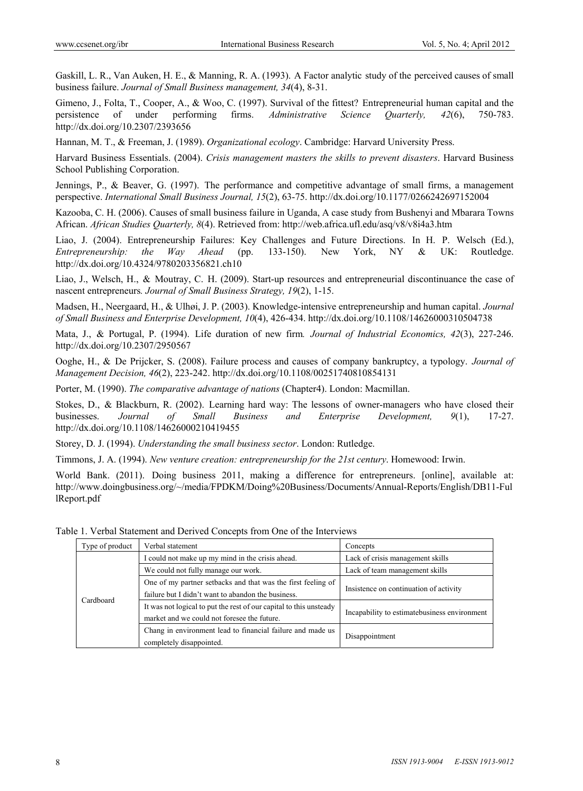Gaskill, L. R., Van Auken, H. E., & Manning, R. A. (1993). A Factor analytic study of the perceived causes of small business failure. *Journal of Small Business management, 34*(4), 8-31.

Gimeno, J., Folta, T., Cooper, A., & Woo, C. (1997). Survival of the fittest? Entrepreneurial human capital and the persistence of under performing firms. *Administrative Science Quarterly, 42*(6), 750-783. http://dx.doi.org/10.2307/2393656

Hannan, M. T., & Freeman, J. (1989). *Organizational ecology*. Cambridge: Harvard University Press.

Harvard Business Essentials. (2004). *Crisis management masters the skills to prevent disasters*. Harvard Business School Publishing Corporation.

Jennings, P., & Beaver, G. (1997). The performance and competitive advantage of small firms, a management perspective. *International Small Business Journal, 15*(2), 63-75. http://dx.doi.org/10.1177/0266242697152004

Kazooba, C. H. (2006). Causes of small business failure in Uganda, A case study from Bushenyi and Mbarara Towns African. *African Studies Quarterly, 8*(4). Retrieved from: http://web.africa.ufl.edu/asq/v8/v8i4a3.htm

Liao, J. (2004). Entrepreneurship Failures: Key Challenges and Future Directions. In H. P. Welsch (Ed.), *Entrepreneurship: the Way Ahead* (pp. 133-150). New York, NY & UK: Routledge. http://dx.doi.org/10.4324/9780203356821.ch10

Liao, J., Welsch, H., & Moutray, C. H. (2009). Start-up resources and entrepreneurial discontinuance the case of nascent entrepreneurs*. Journal of Small Business Strategy, 19*(2), 1-15.

Madsen, H., Neergaard, H., & Ulhøi, J. P. (2003). Knowledge-intensive entrepreneurship and human capital. *Journal of Small Business and Enterprise Development, 10*(4), 426-434. http://dx.doi.org/10.1108/14626000310504738

Mata, J., & Portugal, P. (1994). Life duration of new firm*. Journal of Industrial Economics, 42*(3), 227-246. http://dx.doi.org/10.2307/2950567

Ooghe, H., & De Prijcker, S. (2008). Failure process and causes of company bankruptcy, a typology. *Journal of Management Decision, 46*(2), 223-242. http://dx.doi.org/10.1108/00251740810854131

Porter, M. (1990). *The comparative advantage of nations* (Chapter4). London: Macmillan.

Stokes, D., & Blackburn, R. (2002). Learning hard way: The lessons of owner-managers who have closed their businesses. *Journal of Small Business and Enterprise Development, 9*(1), 17-27. http://dx.doi.org/10.1108/14626000210419455

Storey, D. J. (1994). *Understanding the small business sector*. London: Rutledge.

Timmons, J. A. (1994). *New venture creation: entrepreneurship for the 21st century*. Homewood: Irwin.

World Bank. (2011). Doing business 2011, making a difference for entrepreneurs. [online], available at: http://www.doingbusiness.org/~/media/FPDKM/Doing%20Business/Documents/Annual-Reports/English/DB11-Ful lReport.pdf

| Type of product | Verbal statement                                                                                                   | Concepts                                     |  |  |
|-----------------|--------------------------------------------------------------------------------------------------------------------|----------------------------------------------|--|--|
| Cardboard       | I could not make up my mind in the crisis ahead.                                                                   | Lack of crisis management skills             |  |  |
|                 | We could not fully manage our work.                                                                                | Lack of team management skills               |  |  |
|                 | One of my partner setbacks and that was the first feeling of<br>failure but I didn't want to abandon the business. | Insistence on continuation of activity       |  |  |
|                 | It was not logical to put the rest of our capital to this unsteady<br>market and we could not foresee the future.  | Incapability to estimatebusiness environment |  |  |
|                 | Chang in environment lead to financial failure and made us<br>completely disappointed.                             | Disappointment                               |  |  |

Table 1. Verbal Statement and Derived Concepts from One of the Interviews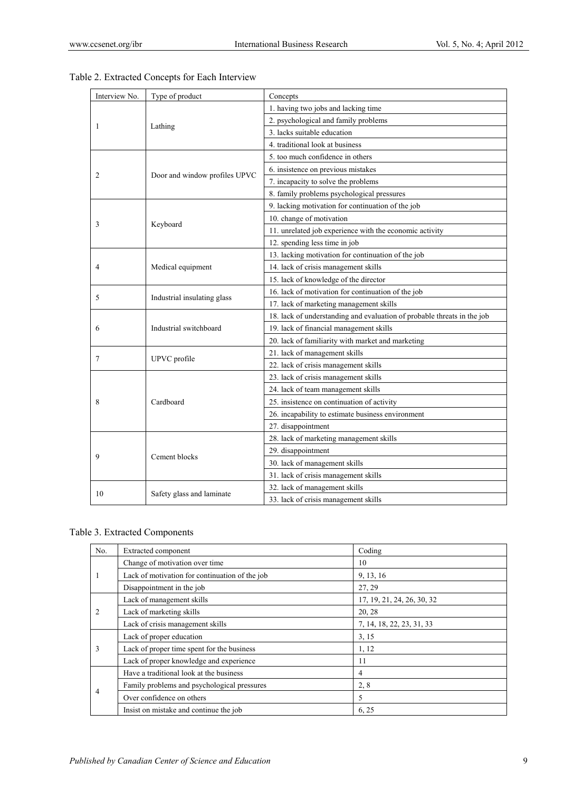| Interview No. | Type of product               | Concepts                                                                |  |  |
|---------------|-------------------------------|-------------------------------------------------------------------------|--|--|
|               |                               | 1. having two jobs and lacking time                                     |  |  |
| 1             | Lathing                       | 2. psychological and family problems                                    |  |  |
|               |                               | 3. lacks suitable education                                             |  |  |
|               |                               | 4. traditional look at business                                         |  |  |
|               | Door and window profiles UPVC | 5, too much confidence in others                                        |  |  |
| 2             |                               | 6. insistence on previous mistakes                                      |  |  |
|               |                               | 7. incapacity to solve the problems                                     |  |  |
|               |                               | 8. family problems psychological pressures                              |  |  |
|               | Keyboard                      | 9. lacking motivation for continuation of the job                       |  |  |
|               |                               | 10. change of motivation                                                |  |  |
| 3             |                               | 11. unrelated job experience with the economic activity                 |  |  |
|               |                               | 12. spending less time in job                                           |  |  |
| 4             | Medical equipment             | 13. lacking motivation for continuation of the job                      |  |  |
|               |                               | 14. lack of crisis management skills                                    |  |  |
|               |                               | 15. lack of knowledge of the director                                   |  |  |
|               | Industrial insulating glass   | 16. lack of motivation for continuation of the job                      |  |  |
| 5             |                               | 17. lack of marketing management skills                                 |  |  |
|               |                               | 18. lack of understanding and evaluation of probable threats in the job |  |  |
| 6             | Industrial switchboard        | 19. lack of financial management skills                                 |  |  |
|               |                               | 20. lack of familiarity with market and marketing                       |  |  |
| 7             | UPVC profile                  | 21. lack of management skills                                           |  |  |
|               |                               | 22. lack of crisis management skills                                    |  |  |
|               |                               | 23. lack of crisis management skills                                    |  |  |
|               | Cardboard                     | 24. lack of team management skills                                      |  |  |
| 8             |                               | 25. insistence on continuation of activity                              |  |  |
|               |                               | 26. incapability to estimate business environment                       |  |  |
|               |                               | 27. disappointment                                                      |  |  |
|               | Cement blocks                 | 28. lack of marketing management skills                                 |  |  |
| 9             |                               | 29. disappointment                                                      |  |  |
|               |                               | 30. lack of management skills                                           |  |  |
|               |                               | 31. lack of crisis management skills                                    |  |  |
| 10            | Safety glass and laminate     | 32. lack of management skills                                           |  |  |
|               |                               | 33. lack of crisis management skills                                    |  |  |

# Table 2. Extracted Concepts for Each Interview

# Table 3. Extracted Components

| No.            | Extracted component                            | Coding                     |
|----------------|------------------------------------------------|----------------------------|
|                | Change of motivation over time                 | 10                         |
|                | Lack of motivation for continuation of the job | 9, 13, 16                  |
|                | Disappointment in the job                      | 27, 29                     |
| $\overline{c}$ | Lack of management skills                      | 17, 19, 21, 24, 26, 30, 32 |
|                | Lack of marketing skills                       | 20, 28                     |
|                | Lack of crisis management skills               | 7, 14, 18, 22, 23, 31, 33  |
| 3              | Lack of proper education                       | 3, 15                      |
|                | Lack of proper time spent for the business     | 1, 12                      |
|                | Lack of proper knowledge and experience        | 11                         |
| 4              | Have a traditional look at the business        | $\overline{4}$             |
|                | Family problems and psychological pressures    | 2, 8                       |
|                | Over confidence on others                      | 5                          |
|                | Insist on mistake and continue the job         | 6, 25                      |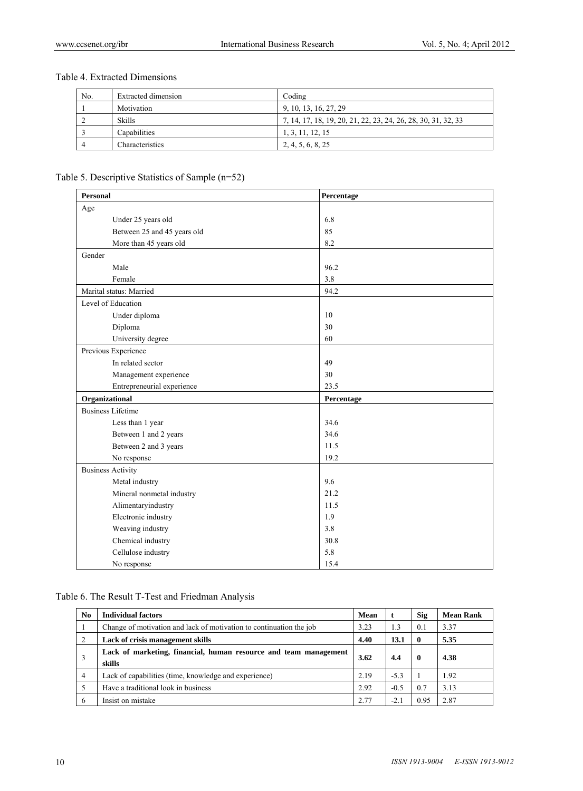# Table 4. Extracted Dimensions

| No. | <b>Extracted dimension</b> | Coding                                                        |
|-----|----------------------------|---------------------------------------------------------------|
|     | Motivation                 | 9, 10, 13, 16, 27, 29                                         |
|     | <b>Skills</b>              | 7, 14, 17, 18, 19, 20, 21, 22, 23, 24, 26, 28, 30, 31, 32, 33 |
|     | Capabilities               | 1, 3, 11, 12, 15                                              |
|     | Characteristics            | 2, 4, 5, 6, 8, 25                                             |

# Table 5. Descriptive Statistics of Sample (n=52)

| <b>Personal</b>             | Percentage |
|-----------------------------|------------|
| Age                         |            |
| Under 25 years old          | 6.8        |
| Between 25 and 45 years old | 85         |
| More than 45 years old      | 8.2        |
| Gender                      |            |
| Male                        | 96.2       |
| Female                      | 3.8        |
| Marital status: Married     | 94.2       |
| Level of Education          |            |
| Under diploma               | 10         |
| Diploma                     | 30         |
| University degree           | 60         |
| Previous Experience         |            |
| In related sector           | 49         |
| Management experience       | 30         |
| Entrepreneurial experience  | 23.5       |
| Organizational              | Percentage |
| <b>Business Lifetime</b>    |            |
| Less than 1 year            | 34.6       |
| Between 1 and 2 years       | 34.6       |
| Between 2 and 3 years       | 11.5       |
| No response                 | 19.2       |
| <b>Business Activity</b>    |            |
| Metal industry              | 9.6        |
| Mineral nonmetal industry   | 21.2       |
| Alimentaryindustry          | 11.5       |
| Electronic industry         | 1.9        |
| Weaving industry            | 3.8        |
| Chemical industry           | 30.8       |
| Cellulose industry          | 5.8        |
| No response                 | 15.4       |

# Table 6. The Result T-Test and Friedman Analysis

| No | <b>Individual factors</b>                                                  | Mean |        | Sig         | <b>Mean Rank</b> |
|----|----------------------------------------------------------------------------|------|--------|-------------|------------------|
|    | Change of motivation and lack of motivation to continuation the job        | 3.23 | 1.3    | 0.1         | 3.37             |
|    | Lack of crisis management skills                                           | 4.40 | 13.1   | $\mathbf 0$ | 5.35             |
|    | Lack of marketing, financial, human resource and team management<br>skills | 3.62 | 4.4    | $\mathbf 0$ | 4.38             |
| 4  | Lack of capabilities (time, knowledge and experience)                      | 2.19 | $-5.3$ |             | 1.92             |
|    | Have a traditional look in business                                        | 2.92 | $-0.5$ | 0.7         | 3.13             |
| 6  | Insist on mistake                                                          | 2.77 | $-2.1$ | 0.95        | 2.87             |